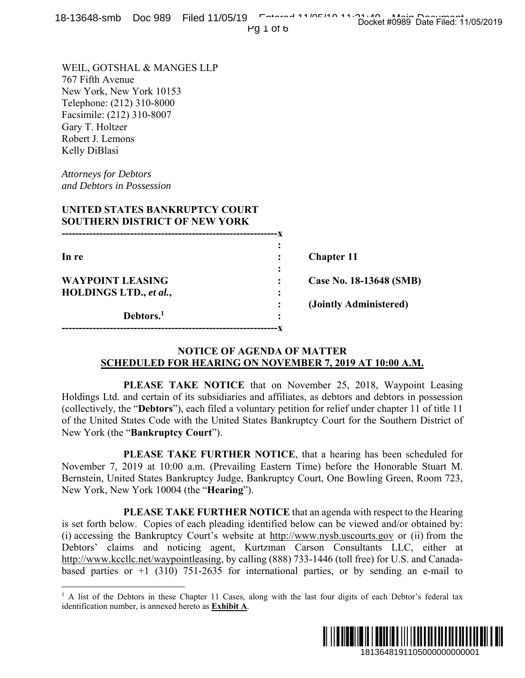|  | 18-13648-smb Doc 989 Filed 11/05/19 February 11/05/10 11:20:44 these Data Filed 11 |  |                                     |
|--|------------------------------------------------------------------------------------|--|-------------------------------------|
|  |                                                                                    |  | Docket #0989 Date Filed: 11/05/2019 |
|  | $1.001 \times 10^{-1}$                                                             |  |                                     |

Pg 1 of 6

WEIL, GOTSHAL & MANGES LLP 767 Fifth Avenue New York, New York 10153 Telephone: (212) 310-8000 Facsimile: (212) 310-8007 Gary T. Holtzer Robert J. Lemons Kelly DiBlasi

*Attorneys for Debtors and Debtors in Possession* 

 $\overline{a}$ 

# **UNITED STATES BANKRUPTCY COURT SOUTHERN DISTRICT OF NEW YORK**

| In re                   |   | <b>Chapter 11</b>       |
|-------------------------|---|-------------------------|
|                         | ٠ |                         |
| <b>WAYPOINT LEASING</b> |   | Case No. 18-13648 (SMB) |
| HOLDINGS LTD., et al.,  | ٠ |                         |
|                         |   | (Jointly Administered)  |
| Debtors. <sup>1</sup>   | ٠ |                         |
|                         |   |                         |

## **NOTICE OF AGENDA OF MATTER SCHEDULED FOR HEARING ON NOVEMBER 7, 2019 AT 10:00 A.M.**

 **PLEASE TAKE NOTICE** that on November 25, 2018, Waypoint Leasing Holdings Ltd. and certain of its subsidiaries and affiliates, as debtors and debtors in possession (collectively, the "**Debtors**"), each filed a voluntary petition for relief under chapter 11 of title 11 of the United States Code with the United States Bankruptcy Court for the Southern District of New York (the "**Bankruptcy Court**").

 **PLEASE TAKE FURTHER NOTICE**, that a hearing has been scheduled for November 7, 2019 at 10:00 a.m. (Prevailing Eastern Time) before the Honorable Stuart M. Bernstein, United States Bankruptcy Judge, Bankruptcy Court, One Bowling Green, Room 723, New York, New York 10004 (the "**Hearing**").

 **PLEASE TAKE FURTHER NOTICE** that an agenda with respect to the Hearing is set forth below. Copies of each pleading identified below can be viewed and/or obtained by: (i) accessing the Bankruptcy Court's website at http://www.nysb.uscourts.gov or (ii) from the Debtors' claims and noticing agent, Kurtzman Carson Consultants LLC, either at http://www.kccllc.net/waypointleasing, by calling (888) 733-1446 (toll free) for U.S. and Canadabased parties or  $+1$  (310) 751-2635 for international parties, or by sending an e-mail to 3-13648 (SMB)<br>  $\Delta$ T 10:00  $\Delta$ .M.<br>  $\Delta$ T 10:00  $\Delta$ .M.<br>  $\Delta$ <br>  $\Delta$  2018, Waypoint Leasing<br>
and debtors in possession<br>
and debtors in possession<br>
and debtors in possession<br>  $\Delta$  the Southern District of<br>  $\Delta$ <br>  $\Delta$  has be

<sup>&</sup>lt;sup>1</sup> A list of the Debtors in these Chapter 11 Cases, along with the last four digits of each Debtor's federal tax identification number, is annexed hereto as **Exhibit A**.

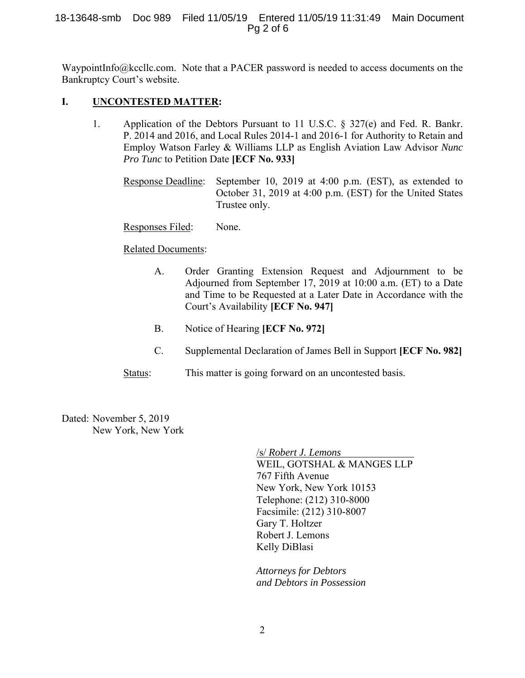## 18-13648-smb Doc 989 Filed 11/05/19 Entered 11/05/19 11:31:49 Main Document Pg 2 of 6

WaypointInfo@kccllc.com. Note that a PACER password is needed to access documents on the Bankruptcy Court's website.

# **I. UNCONTESTED MATTER:**

- 1. Application of the Debtors Pursuant to 11 U.S.C. § 327(e) and Fed. R. Bankr. P. 2014 and 2016, and Local Rules 2014-1 and 2016-1 for Authority to Retain and Employ Watson Farley & Williams LLP as English Aviation Law Advisor *Nunc Pro Tunc* to Petition Date **[ECF No. 933]** 
	- Response Deadline: September 10, 2019 at 4:00 p.m. (EST), as extended to October 31, 2019 at 4:00 p.m. (EST) for the United States Trustee only.

## Responses Filed: None.

## Related Documents:

- A. Order Granting Extension Request and Adjournment to be Adjourned from September 17, 2019 at 10:00 a.m. (ET) to a Date and Time to be Requested at a Later Date in Accordance with the Court's Availability **[ECF No. 947]**
- B. Notice of Hearing **[ECF No. 972]**
- C. Supplemental Declaration of James Bell in Support **[ECF No. 982]**
- Status: This matter is going forward on an uncontested basis.

Dated: November 5, 2019 New York, New York

> /s/ *Robert J. Lemons* WEIL, GOTSHAL & MANGES LLP 767 Fifth Avenue New York, New York 10153 Telephone: (212) 310-8000 Facsimile: (212) 310-8007 Gary T. Holtzer Robert J. Lemons Kelly DiBlasi

*Attorneys for Debtors and Debtors in Possession*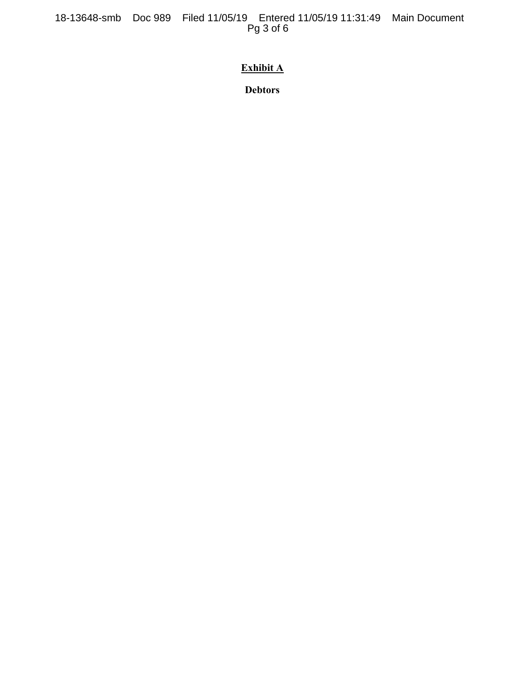18-13648-smb Doc 989 Filed 11/05/19 Entered 11/05/19 11:31:49 Main Document Pg 3 of 6

# **Exhibit A**

**Debtors**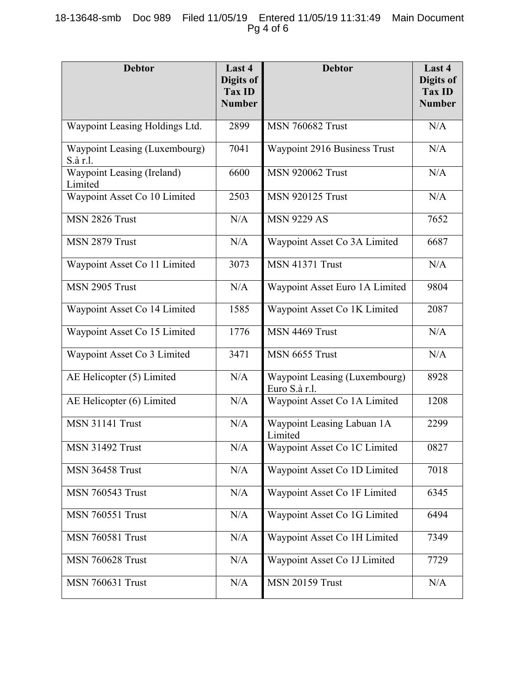# 18-13648-smb Doc 989 Filed 11/05/19 Entered 11/05/19 11:31:49 Main Document Pg 4 of 6

| <b>Debtor</b>                             | Last 4<br>Digits of<br>Tax ID<br><b>Number</b> | <b>Debtor</b>                                  | Last 4<br>Digits of<br><b>Tax ID</b><br><b>Number</b> |
|-------------------------------------------|------------------------------------------------|------------------------------------------------|-------------------------------------------------------|
| Waypoint Leasing Holdings Ltd.            | 2899                                           | <b>MSN 760682 Trust</b>                        | N/A                                                   |
| Waypoint Leasing (Luxembourg)<br>S.à r.l. | 7041                                           | Waypoint 2916 Business Trust                   | N/A                                                   |
| Waypoint Leasing (Ireland)<br>Limited     | 6600                                           | <b>MSN 920062 Trust</b>                        | N/A                                                   |
| Waypoint Asset Co 10 Limited              | 2503                                           | <b>MSN 920125 Trust</b>                        | N/A                                                   |
| MSN 2826 Trust                            | N/A                                            | <b>MSN 9229 AS</b>                             | 7652                                                  |
| MSN 2879 Trust                            | N/A                                            | Waypoint Asset Co 3A Limited                   | 6687                                                  |
| Waypoint Asset Co 11 Limited              | 3073                                           | <b>MSN 41371 Trust</b>                         | N/A                                                   |
| MSN 2905 Trust                            | N/A                                            | Waypoint Asset Euro 1A Limited                 | 9804                                                  |
| Waypoint Asset Co 14 Limited              | 1585                                           | Waypoint Asset Co 1K Limited                   | 2087                                                  |
| Waypoint Asset Co 15 Limited              | 1776                                           | MSN 4469 Trust                                 | N/A                                                   |
| Waypoint Asset Co 3 Limited               | 3471                                           | MSN 6655 Trust                                 | N/A                                                   |
| AE Helicopter (5) Limited                 | N/A                                            | Waypoint Leasing (Luxembourg)<br>Euro S.à r.l. | 8928                                                  |
| AE Helicopter (6) Limited                 | N/A                                            | Waypoint Asset Co 1A Limited                   | 1208                                                  |
| <b>MSN 31141 Trust</b>                    | N/A                                            | Waypoint Leasing Labuan 1A<br>Limited          | 2299                                                  |
| <b>MSN 31492 Trust</b>                    | N/A                                            | Waypoint Asset Co 1C Limited                   | 0827                                                  |
| <b>MSN 36458 Trust</b>                    | N/A                                            | Waypoint Asset Co 1D Limited                   | 7018                                                  |
| <b>MSN 760543 Trust</b>                   | N/A                                            | Waypoint Asset Co 1F Limited                   | 6345                                                  |
| <b>MSN 760551 Trust</b>                   | N/A                                            | Waypoint Asset Co 1G Limited                   | 6494                                                  |
| <b>MSN 760581 Trust</b>                   | N/A                                            | Waypoint Asset Co 1H Limited                   | 7349                                                  |
| <b>MSN 760628 Trust</b>                   | N/A                                            | Waypoint Asset Co 1J Limited                   | 7729                                                  |
| <b>MSN 760631 Trust</b>                   | N/A                                            | <b>MSN 20159 Trust</b>                         | N/A                                                   |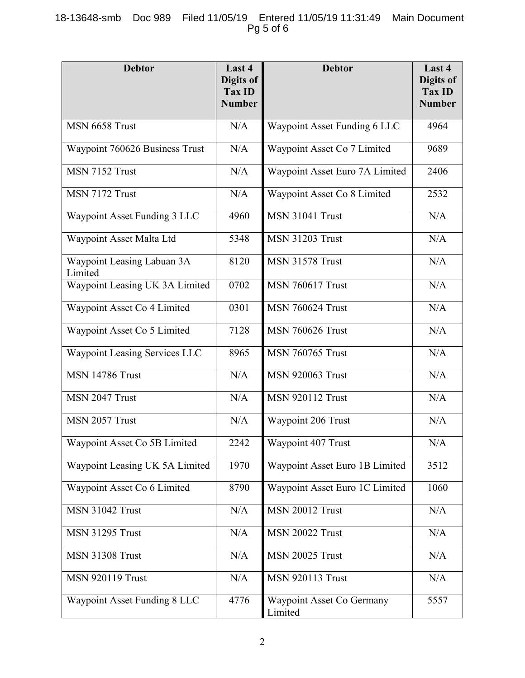# 18-13648-smb Doc 989 Filed 11/05/19 Entered 11/05/19 11:31:49 Main Document Pg 5 of 6

| <b>Debtor</b>                         | Last 4<br>Digits of<br>Tax ID<br><b>Number</b> | <b>Debtor</b>                        | Last 4<br>Digits of<br><b>Tax ID</b><br><b>Number</b> |
|---------------------------------------|------------------------------------------------|--------------------------------------|-------------------------------------------------------|
| MSN 6658 Trust                        | N/A                                            | Waypoint Asset Funding 6 LLC         | 4964                                                  |
| Waypoint 760626 Business Trust        | N/A                                            | Waypoint Asset Co 7 Limited          | 9689                                                  |
| MSN 7152 Trust                        | N/A                                            | Waypoint Asset Euro 7A Limited       | 2406                                                  |
| MSN 7172 Trust                        | N/A                                            | Waypoint Asset Co 8 Limited          | 2532                                                  |
| Waypoint Asset Funding 3 LLC          | 4960                                           | <b>MSN 31041 Trust</b>               | N/A                                                   |
| Waypoint Asset Malta Ltd              | 5348                                           | <b>MSN 31203 Trust</b>               | N/A                                                   |
| Waypoint Leasing Labuan 3A<br>Limited | 8120                                           | <b>MSN 31578 Trust</b>               | N/A                                                   |
| Waypoint Leasing UK 3A Limited        | 0702                                           | <b>MSN 760617 Trust</b>              | N/A                                                   |
| Waypoint Asset Co 4 Limited           | 0301                                           | <b>MSN 760624 Trust</b>              | N/A                                                   |
| Waypoint Asset Co 5 Limited           | 7128                                           | <b>MSN 760626 Trust</b>              | N/A                                                   |
| Waypoint Leasing Services LLC         | 8965                                           | <b>MSN 760765 Trust</b>              | N/A                                                   |
| <b>MSN 14786 Trust</b>                | N/A                                            | <b>MSN 920063 Trust</b>              | N/A                                                   |
| MSN 2047 Trust                        | N/A                                            | <b>MSN 920112 Trust</b>              | N/A                                                   |
| MSN 2057 Trust                        | N/A                                            | Waypoint 206 Trust                   | N/A                                                   |
| Waypoint Asset Co 5B Limited          | 2242                                           | Waypoint 407 Trust                   | N/A                                                   |
| Waypoint Leasing UK 5A Limited        | 1970                                           | Waypoint Asset Euro 1B Limited       | 3512                                                  |
| Waypoint Asset Co 6 Limited           | 8790                                           | Waypoint Asset Euro 1C Limited       | 1060                                                  |
| <b>MSN 31042 Trust</b>                | N/A                                            | <b>MSN 20012 Trust</b>               | N/A                                                   |
| <b>MSN 31295 Trust</b>                | N/A                                            | <b>MSN 20022 Trust</b>               | N/A                                                   |
| <b>MSN 31308 Trust</b>                | N/A                                            | <b>MSN 20025 Trust</b>               | N/A                                                   |
| <b>MSN 920119 Trust</b>               | N/A                                            | <b>MSN 920113 Trust</b>              | N/A                                                   |
| Waypoint Asset Funding 8 LLC          | 4776                                           | Waypoint Asset Co Germany<br>Limited | 5557                                                  |